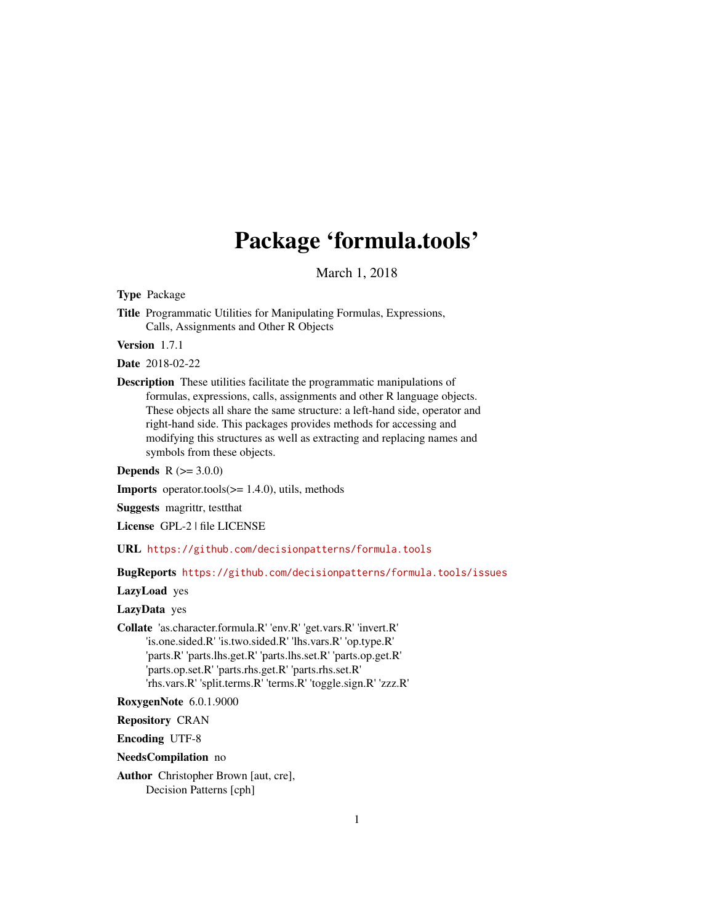# Package 'formula.tools'

March 1, 2018

<span id="page-0-0"></span>Type Package

Title Programmatic Utilities for Manipulating Formulas, Expressions, Calls, Assignments and Other R Objects

Version 1.7.1

Date 2018-02-22

Description These utilities facilitate the programmatic manipulations of formulas, expressions, calls, assignments and other R language objects. These objects all share the same structure: a left-hand side, operator and right-hand side. This packages provides methods for accessing and modifying this structures as well as extracting and replacing names and symbols from these objects.

**Depends**  $R (= 3.0.0)$ 

**Imports** operator.tools $(>= 1.4.0)$ , utils, methods

Suggests magrittr, testthat

License GPL-2 | file LICENSE

URL <https://github.com/decisionpatterns/formula.tools>

BugReports <https://github.com/decisionpatterns/formula.tools/issues>

LazyLoad yes

LazyData yes

Collate 'as.character.formula.R' 'env.R' 'get.vars.R' 'invert.R' 'is.one.sided.R' 'is.two.sided.R' 'lhs.vars.R' 'op.type.R' 'parts.R' 'parts.lhs.get.R' 'parts.lhs.set.R' 'parts.op.get.R' 'parts.op.set.R' 'parts.rhs.get.R' 'parts.rhs.set.R' 'rhs.vars.R' 'split.terms.R' 'terms.R' 'toggle.sign.R' 'zzz.R'

RoxygenNote 6.0.1.9000

Repository CRAN

Encoding UTF-8

NeedsCompilation no

Author Christopher Brown [aut, cre], Decision Patterns [cph]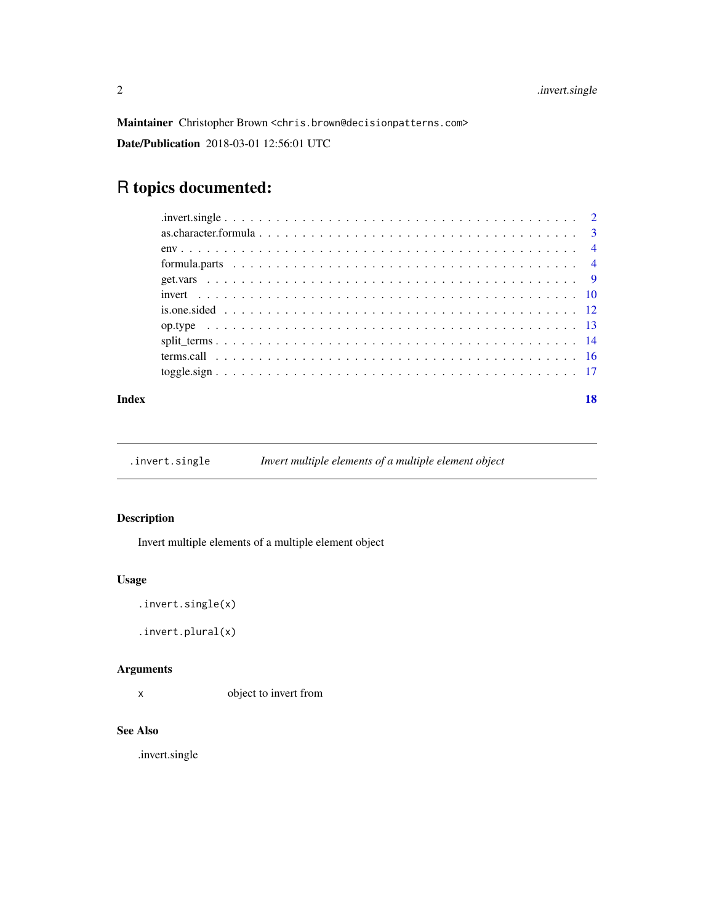<span id="page-1-0"></span>Maintainer Christopher Brown <chris.brown@decisionpatterns.com> Date/Publication 2018-03-01 12:56:01 UTC

# R topics documented:

#### **Index** 2008 **[18](#page-17-0)**

.invert.single *Invert multiple elements of a multiple element object*

# Description

Invert multiple elements of a multiple element object

#### Usage

```
.invert.single(x)
```
.invert.plural(x)

# Arguments

x object to invert from

# See Also

.invert.single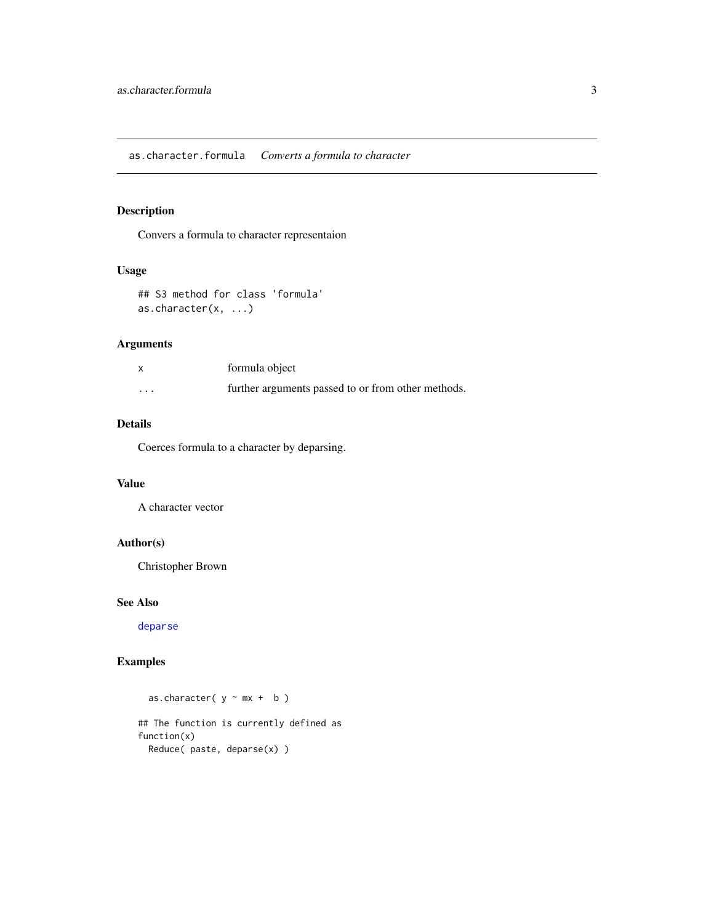<span id="page-2-0"></span>Convers a formula to character representaion

#### Usage

```
## S3 method for class 'formula'
as.character(x, ...)
```
# Arguments

|                         | formula object                                     |
|-------------------------|----------------------------------------------------|
| $\cdot$ $\cdot$ $\cdot$ | further arguments passed to or from other methods. |

# Details

Coerces formula to a character by deparsing.

#### Value

A character vector

# Author(s)

Christopher Brown

#### See Also

[deparse](#page-0-0)

# Examples

as.character(  $y \sim mx + b$  )

## The function is currently defined as function(x) Reduce( paste, deparse(x) )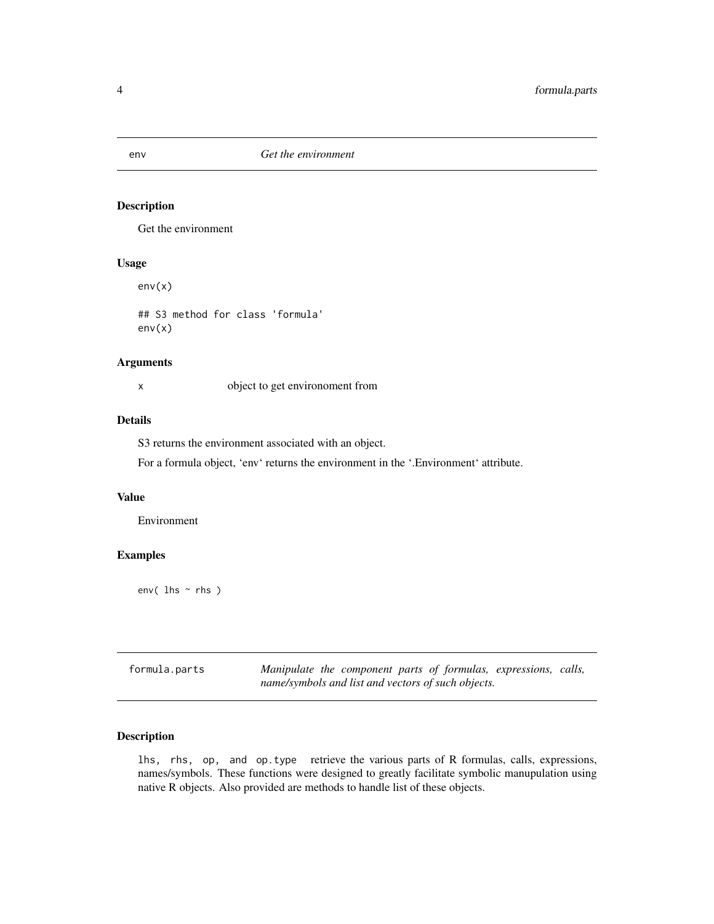<span id="page-3-0"></span>

Get the environment

# Usage

env(x)

## S3 method for class 'formula' env(x)

#### Arguments

x object to get environoment from

# Details

S3 returns the environment associated with an object.

For a formula object, 'env' returns the environment in the '.Environment' attribute.

#### Value

Environment

# Examples

env( lhs ~ rhs )

| formula.parts | Manipulate the component parts of formulas, expressions, calls, |
|---------------|-----------------------------------------------------------------|
|               | name/symbols and list and vectors of such objects.              |

#### <span id="page-3-1"></span>Description

lhs, rhs, op, and op.type retrieve the various parts of R formulas, calls, expressions, names/symbols. These functions were designed to greatly facilitate symbolic manupulation using native R objects. Also provided are methods to handle list of these objects.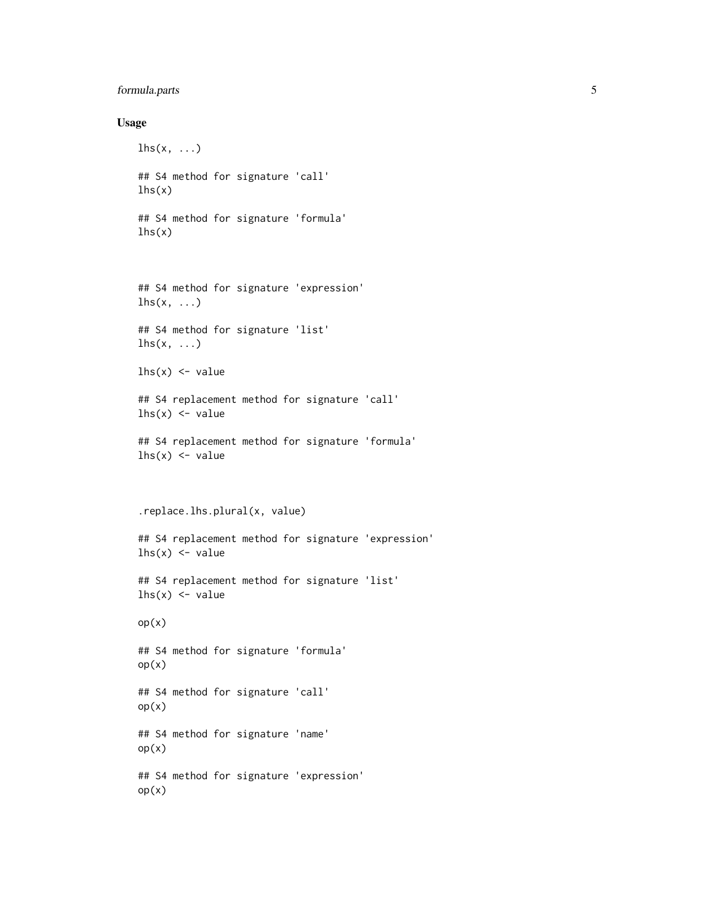# formula.parts 5

#### Usage

```
\ln s(x, \ldots)## S4 method for signature 'call'
lhs(x)
## S4 method for signature 'formula'
lhs(x)## S4 method for signature 'expression'
lhs(x, ...)## S4 method for signature 'list'
\ln s(x, \ldots)\ln s(x) <- value
## S4 replacement method for signature 'call'
lhs(x) \leftarrow value## S4 replacement method for signature 'formula'
lhs(x) \leftarrow value
.replace.lhs.plural(x, value)
## S4 replacement method for signature 'expression'
lhs(x) \leftarrow value
## S4 replacement method for signature 'list'
lhs(x) \leftarrow value
op(x)
## S4 method for signature 'formula'
op(x)
## S4 method for signature 'call'
op(x)
## S4 method for signature 'name'
op(x)
## S4 method for signature 'expression'
op(x)
```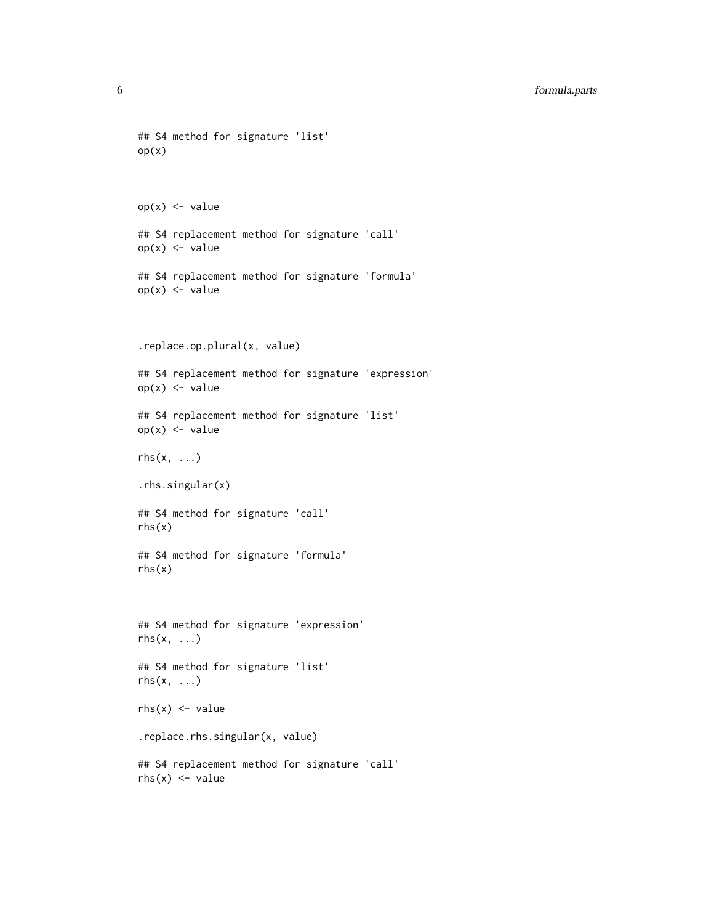```
## S4 method for signature 'list'
op(x)op(x) <- value
## S4 replacement method for signature 'call'
op(x) < - value
## S4 replacement method for signature 'formula'
op(x) <- value
.replace.op.plural(x, value)
## S4 replacement method for signature 'expression'
op(x) < - value
## S4 replacement method for signature 'list'
op(x) <- value
rhs(x, \ldots).rhs.singular(x)
## S4 method for signature 'call'
rhs(x)
## S4 method for signature 'formula'
rhs(x)
## S4 method for signature 'expression'
rhs(x, \ldots)## S4 method for signature 'list'
rhs(x, \ldots)rhs(x) \leq value.replace.rhs.singular(x, value)
## S4 replacement method for signature 'call'
rhs(x) \leq value
```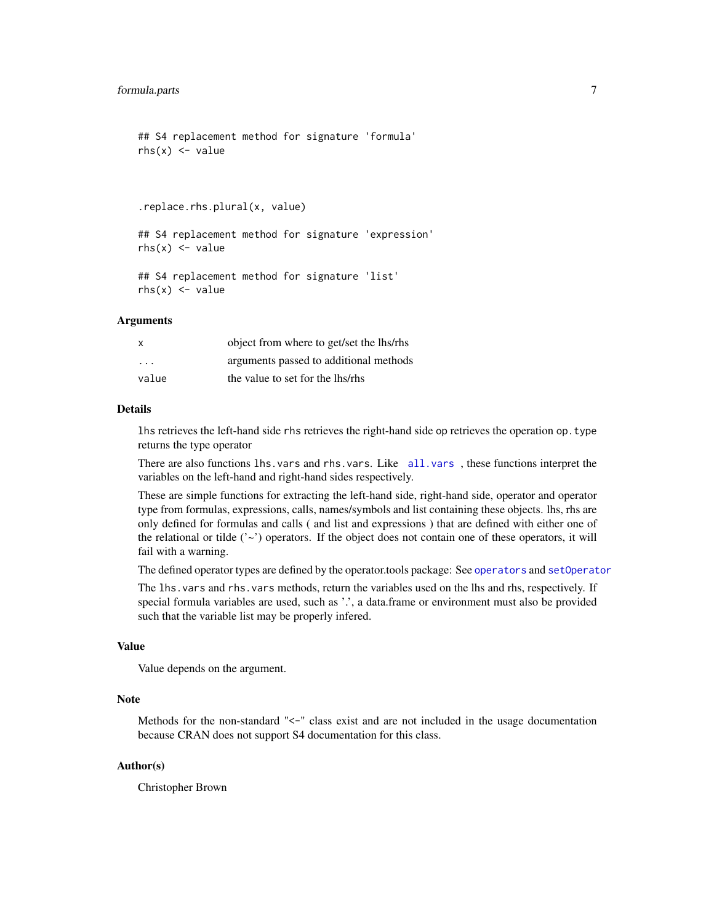```
## S4 replacement method for signature 'formula'
rhs(x) \leq value
```
.replace.rhs.plural(x, value)

## S4 replacement method for signature 'expression'  $rhs(x) \leq value$ 

```
## S4 replacement method for signature 'list'
rhs(x) \leq value
```
#### Arguments

| $\times$                | object from where to get/set the lhs/rhs |
|-------------------------|------------------------------------------|
| $\cdot$ $\cdot$ $\cdot$ | arguments passed to additional methods   |
| value                   | the value to set for the lhs/rhs         |

#### Details

lhs retrieves the left-hand side rhs retrieves the right-hand side op retrieves the operation op.type returns the type operator

There are also functions lhs.vars and rhs.vars. Like [all.vars](#page-0-0) , these functions interpret the variables on the left-hand and right-hand sides respectively.

These are simple functions for extracting the left-hand side, right-hand side, operator and operator type from formulas, expressions, calls, names/symbols and list containing these objects. lhs, rhs are only defined for formulas and calls ( and list and expressions ) that are defined with either one of the relational or tilde  $(2\gamma)$  operators. If the object does not contain one of these operators, it will fail with a warning.

The defined operator types are defined by the operator.tools package: See [operators](#page-0-0) and [setOperator](#page-0-0)

The lhs.vars and rhs.vars methods, return the variables used on the lhs and rhs, respectively. If special formula variables are used, such as '.', a data.frame or environment must also be provided such that the variable list may be properly infered.

#### Value

Value depends on the argument.

#### **Note**

Methods for the non-standard "<-" class exist and are not included in the usage documentation because CRAN does not support S4 documentation for this class.

#### Author(s)

Christopher Brown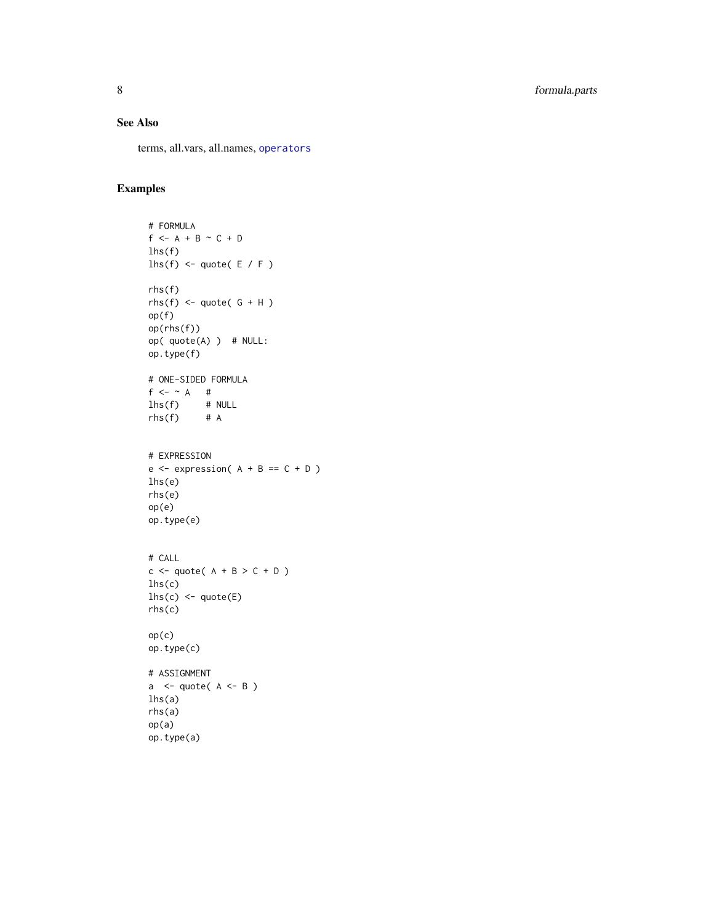# <span id="page-7-0"></span>See Also

terms, all.vars, all.names, [operators](#page-0-0)

```
# FORMULA
f \leftarrow A + B \sim C + Dlhs(f)lhs(f) \leq quote( E / F )
rhs(f)
rhs(f) \leq quote(G + H)op(f)
op(rhs(f))
op( quote(A) ) # NULL:
op.type(f)
# ONE-SIDED FORMULA
f \leftarrow \sim A #
\begin{array}{ccc} \text{lhs}(f) & \text{# NULL} \\ \text{rhs}(f) & \text{# A} \end{array}rhs(f)# EXPRESSION
e \leftarrow expression(A + B == C + D)lhs(e)
rhs(e)
op(e)
op.type(e)
# CALL
c \leq - quote( A + B > C + D )
lhs(c)
lhs(c) <- quote(E)rhs(c)
op(c)
op.type(c)
# ASSIGNMENT
a \leftarrow quote( A \leftarrow B )
lhs(a)
rhs(a)
op(a)
op.type(a)
```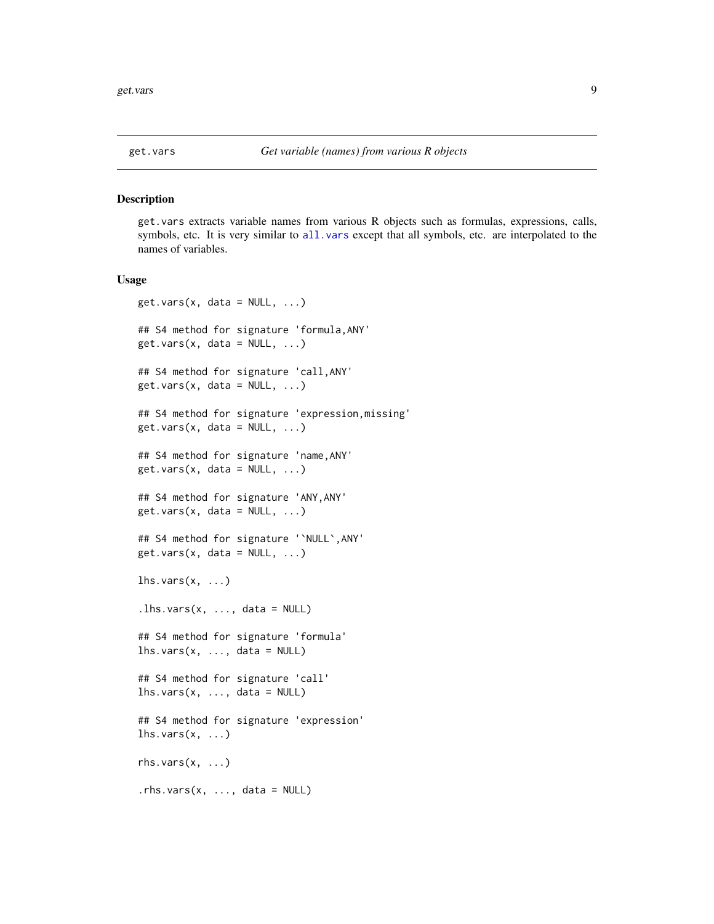<span id="page-8-0"></span>get.vars extracts variable names from various R objects such as formulas, expressions, calls, symbols, etc. It is very similar to [all.vars](#page-0-0) except that all symbols, etc. are interpolated to the names of variables.

#### Usage

```
get.vars(x, data = NULL, ...)## S4 method for signature 'formula,ANY'
get.vars(x, data = NULL, ...)## S4 method for signature 'call,ANY'
get.vars(x, data = NULL, ...)## S4 method for signature 'expression,missing'
get.vars(x, data = NULL, ...)## S4 method for signature 'name,ANY'
get.vars(x, data = NULL, ...)## S4 method for signature 'ANY,ANY'
get.vars(x, data = NULL, ...)## S4 method for signature '`NULL`,ANY'
get.vars(x, data = NULL, ...)lhs.vars(x, \ldots)\text{.} lhs.vars(x, \dots, data = NULL)
## S4 method for signature 'formula'
lhs.vars(x, ..., data = NULL)## S4 method for signature 'call'
lhs.vars(x, ..., data = NULL)## S4 method for signature 'expression'
lhs.vars(x, ...)rhs.vars(x, \ldots).rhs.vars(x, \ldots, dx) data = NULL)
```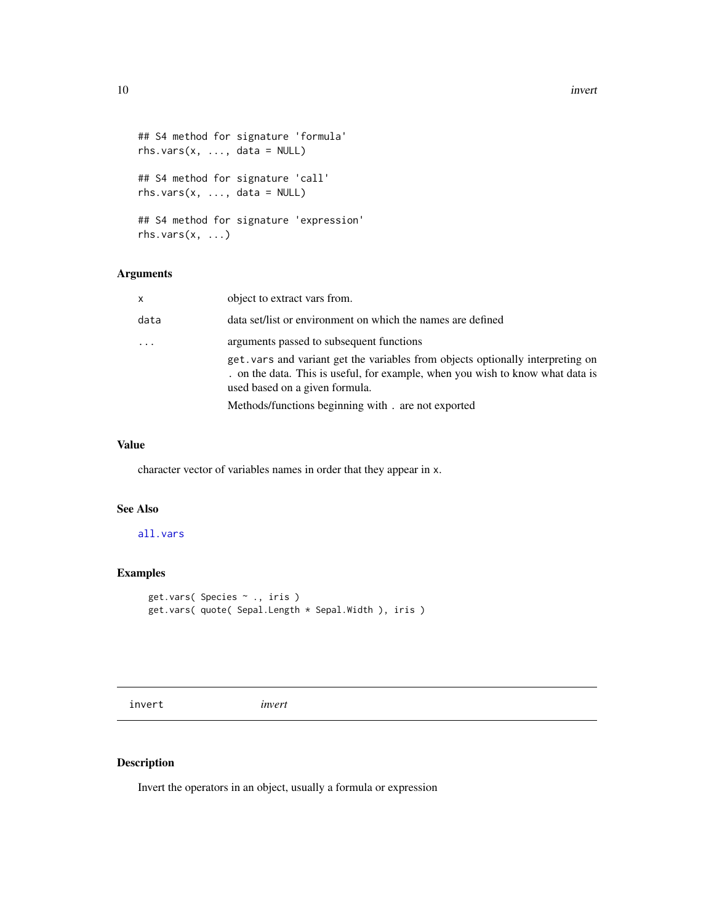<span id="page-9-0"></span>10 invertebration and the contract of the contract of the contract of the contract of the contract of the contract of the contract of the contract of the contract of the contract of the contract of the contract of the cont

```
## S4 method for signature 'formula'
rhs.vars(x, ..., data = NULL)## S4 method for signature 'call'
rhs.vars(x, ..., data = NULL)## S4 method for signature 'expression'
rhs.vars(x, ...)
```
#### Arguments

| $\mathsf{x}$ | object to extract vars from.                                                                                                                                                                                 |
|--------------|--------------------------------------------------------------------------------------------------------------------------------------------------------------------------------------------------------------|
| data         | data set/list or environment on which the names are defined                                                                                                                                                  |
|              | arguments passed to subsequent functions<br>get vars and variant get the variables from objects optionally interpreting on<br>. on the data. This is useful, for example, when you wish to know what data is |
|              | used based on a given formula.                                                                                                                                                                               |
|              | Methods/functions beginning with . are not exported                                                                                                                                                          |

# Value

character vector of variables names in order that they appear in x.

#### See Also

[all.vars](#page-0-0)

# Examples

```
get.vars( Species ~ ., iris )
get.vars( quote( Sepal.Length * Sepal.Width ), iris )
```
invert *invert*

# Description

Invert the operators in an object, usually a formula or expression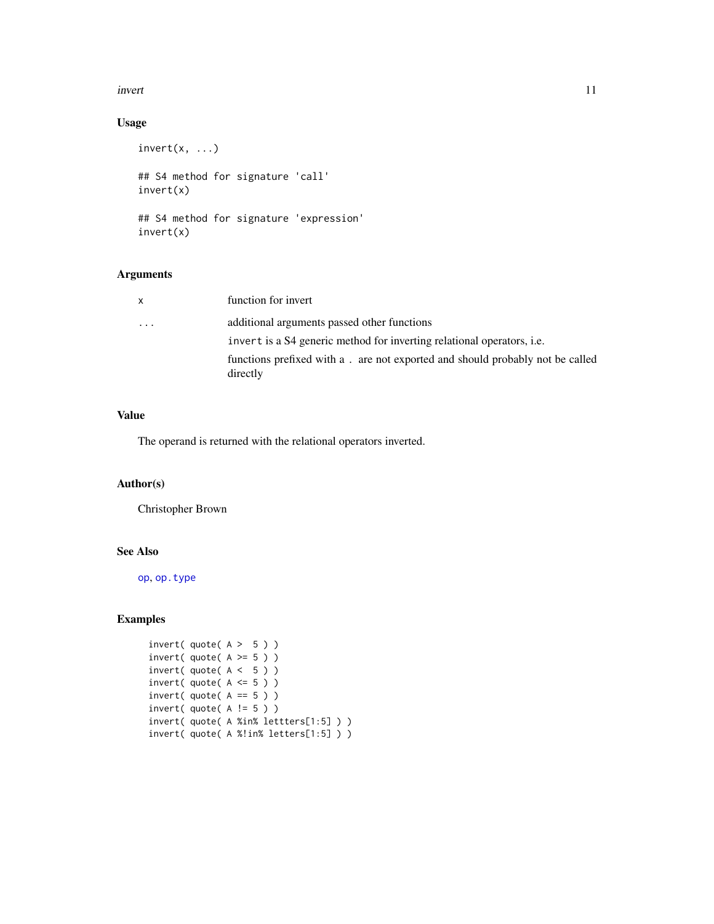#### <span id="page-10-0"></span>invert the contract of the contract of the contract of the contract of the contract of the contract of the contract of the contract of the contract of the contract of the contract of the contract of the contract of the con

# Usage

```
invert(x, \ldots)## S4 method for signature 'call'
invert(x)
## S4 method for signature 'expression'
invert(x)
```
#### Arguments

| X                 | function for invert                                                                        |
|-------------------|--------------------------------------------------------------------------------------------|
| $\cdot\cdot\cdot$ | additional arguments passed other functions                                                |
|                   | invert is a S4 generic method for inverting relational operators, <i>i.e.</i>              |
|                   | functions prefixed with a . are not exported and should probably not be called<br>directly |

#### Value

The operand is returned with the relational operators inverted.

#### Author(s)

Christopher Brown

#### See Also

[op](#page-3-1), [op.type](#page-12-1)

```
invert( quote(A > 5))
invert( quote(A \ge 5) )
invert( quote(A < 5))
invert( quote( A \leq 5 ) )invert( quote(A == 5))
invert( quote ( A != 5 ) )
invert( quote( A %in% lettters[1:5] ) )
invert( quote( A %!in% letters[1:5] ) )
```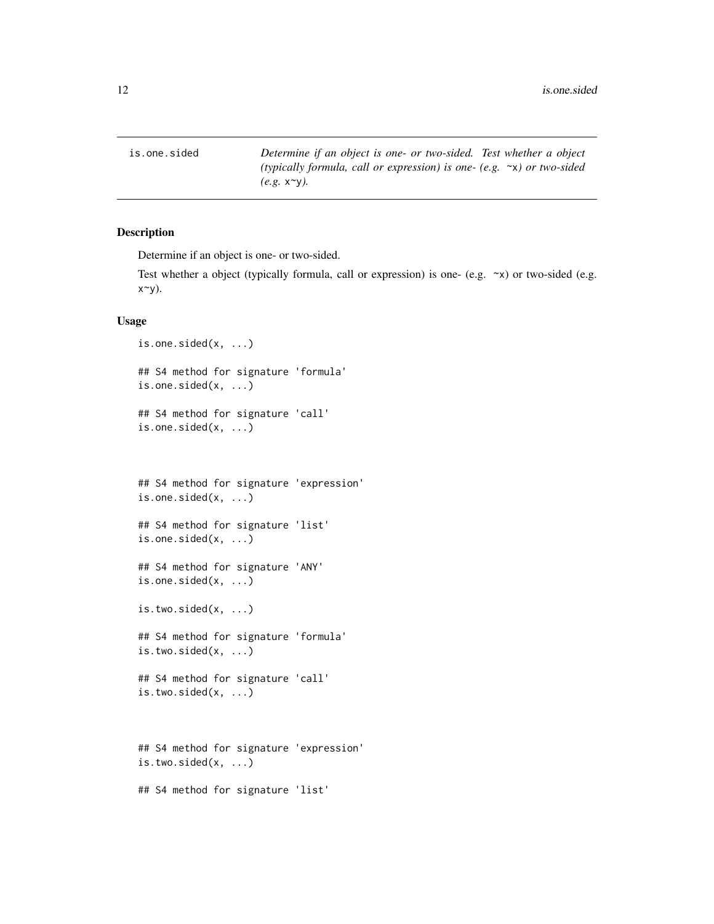<span id="page-11-0"></span>is.one.sided *Determine if an object is one- or two-sided. Test whether a object (typically formula, call or expression) is one- (e.g.* ~x*) or two-sided (e.g.* x~y*).*

# Description

Determine if an object is one- or two-sided.

Test whether a object (typically formula, call or expression) is one- (e.g.  $\sim$ x) or two-sided (e.g.  $x^y$ .

# Usage

```
is.one.sided(x, ...)
## S4 method for signature 'formula'
is.one.sided(x, ...)
## S4 method for signature 'call'
is.one.sided(x, ...)
## S4 method for signature 'expression'
is.one.sided(x, ...)
## S4 method for signature 'list'
is.one.sided(x, ...)
## S4 method for signature 'ANY'
is.one.sided(x, ...)
is.two.sided(x, ...)
## S4 method for signature 'formula'
is.two.sided(x, ...)
## S4 method for signature 'call'
is.two.sided(x, ...)
## S4 method for signature 'expression'
is.two.sided(x, ...)
```
## S4 method for signature 'list'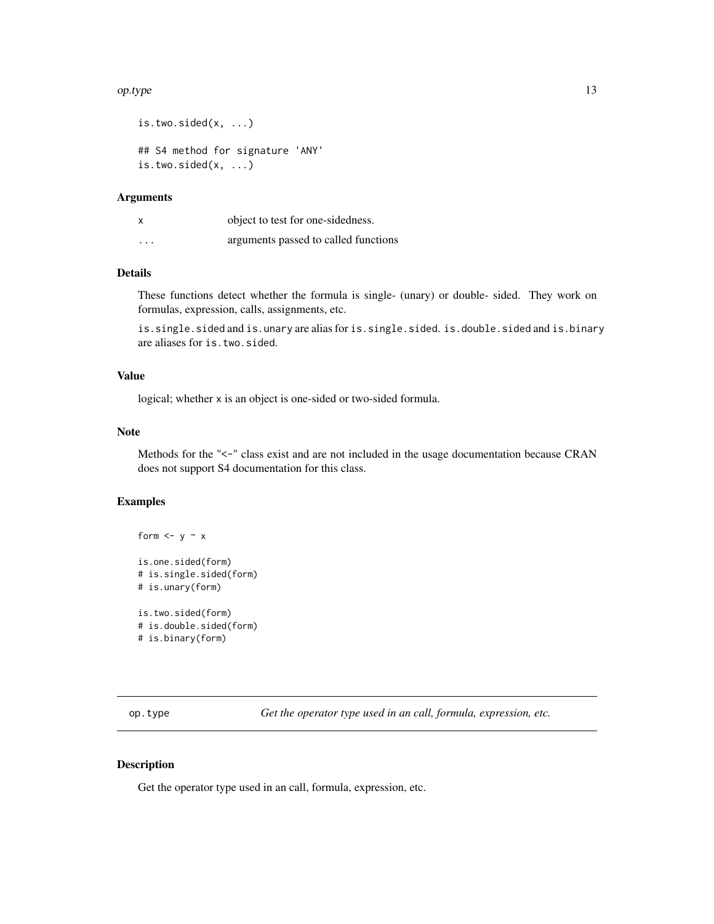#### <span id="page-12-0"></span> $op. type$   $13$

```
is.two.sided(x, ...)
## S4 method for signature 'ANY'
is.two.sided(x, ...)
```
#### Arguments

| x        | object to test for one-sidedness.    |
|----------|--------------------------------------|
| $\cdots$ | arguments passed to called functions |

# Details

These functions detect whether the formula is single- (unary) or double- sided. They work on formulas, expression, calls, assignments, etc.

is.single.sided and is.unary are alias for is.single.sided. is.double.sided and is.binary are aliases for is.two.sided.

#### Value

logical; whether x is an object is one-sided or two-sided formula.

#### Note

Methods for the "<-" class exist and are not included in the usage documentation because CRAN does not support S4 documentation for this class.

#### Examples

```
form \leftarrow y \sim x
is.one.sided(form)
# is.single.sided(form)
# is.unary(form)
is.two.sided(form)
# is.double.sided(form)
# is.binary(form)
```
<span id="page-12-1"></span>op.type *Get the operator type used in an call, formula, expression, etc.*

### Description

Get the operator type used in an call, formula, expression, etc.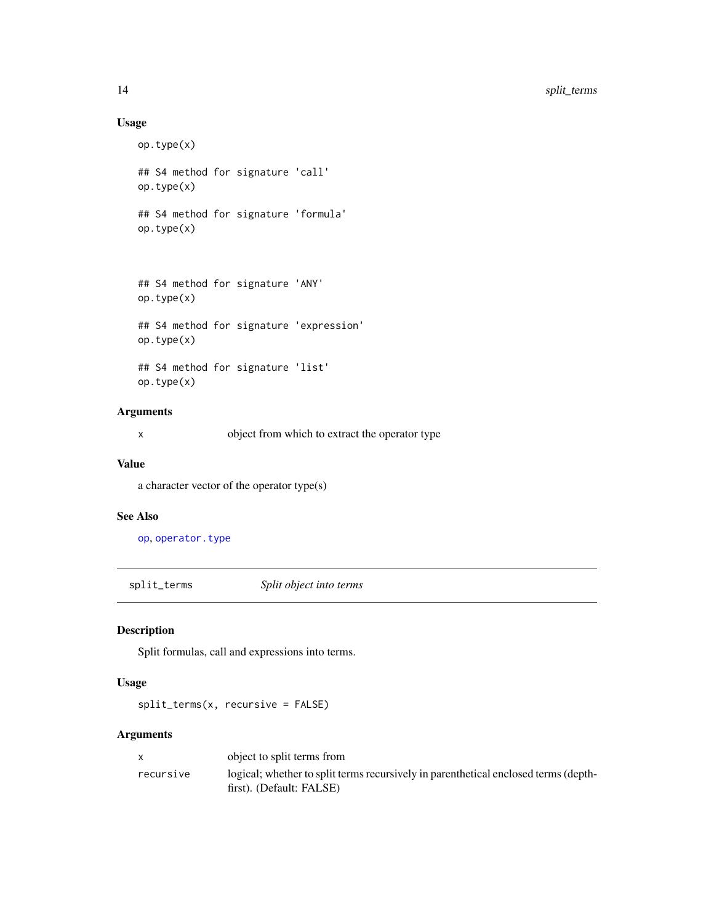# Usage

```
op.type(x)
## S4 method for signature 'call'
op.type(x)
## S4 method for signature 'formula'
op.type(x)
## S4 method for signature 'ANY'
op.type(x)
## S4 method for signature 'expression'
op.type(x)
## S4 method for signature 'list'
```
op.type(x)

# Arguments

x object from which to extract the operator type

#### Value

a character vector of the operator type(s)

#### See Also

[op](#page-3-1), [operator.type](#page-0-0)

split\_terms *Split object into terms*

#### Description

Split formulas, call and expressions into terms.

# Usage

split\_terms(x, recursive = FALSE)

#### Arguments

|           | object to split terms from                                                                                      |
|-----------|-----------------------------------------------------------------------------------------------------------------|
| recursive | logical; whether to split terms recursively in parenthetical enclosed terms (depth-<br>first). (Default: FALSE) |

<span id="page-13-0"></span>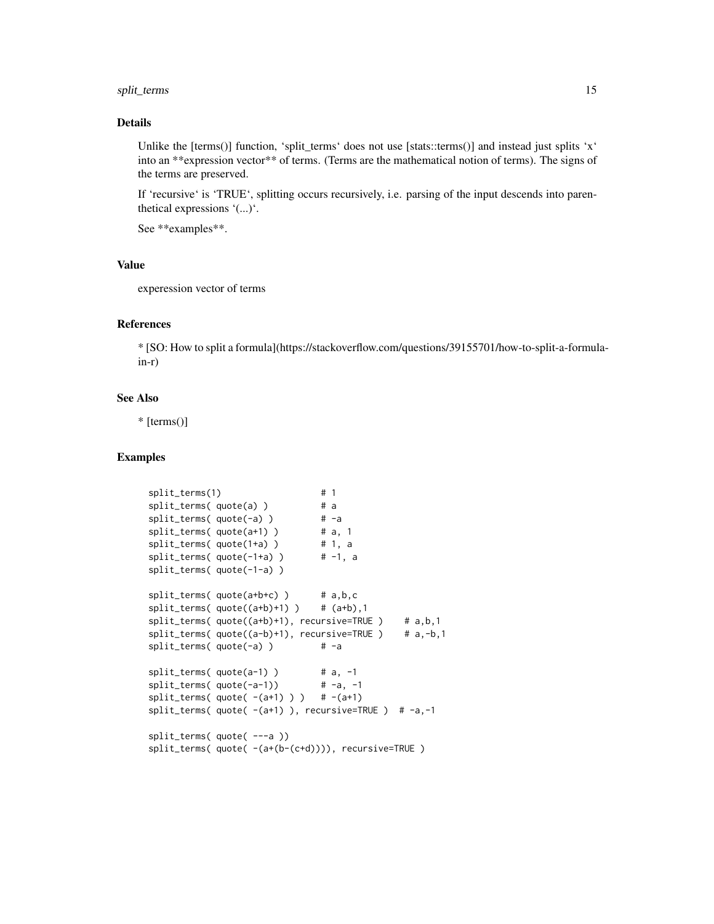# split\_terms 15

#### Details

Unlike the  $[terms()]$  function, 'split\_terms' does not use  $[stats::terms()]$  and instead just splits 'x' into an \*\*expression vector\*\* of terms. (Terms are the mathematical notion of terms). The signs of the terms are preserved.

If 'recursive' is 'TRUE', splitting occurs recursively, i.e. parsing of the input descends into parenthetical expressions '(...)'.

See \*\*examples\*\*.

#### Value

experession vector of terms

#### References

\* [SO: How to split a formula](https://stackoverflow.com/questions/39155701/how-to-split-a-formulain-r)

#### See Also

 $*$  [terms()]

```
split\_terms(1) # 1
split_terms( quote(a) ) # a
split\_terms( quote(-a) ) # -a
split\_terms( quote(a+1) ) # a, 1
split\_terms( quote(1+a) ) # 1, a
split\_terms( quote(-1+a)) # -1, a
split_terms( quote(-1-a) )
split_terms( quote(a+b+c) ) # a,b,c
split\_terms( quote((a+b)+1)) # (a+b),1split\_terms( quote((a+b)+1), recursive=TRUE ) # a,b,1
split\_terms( quote((a-b)+1), recursive=TRUE) # a,-b,1split\_terms( quote(-a) ) # -a
split\_terms( quote(a-1)) # a, -1
split\_terms( quote(-a-1)) # -a, -1
split_terms(quote(-(a+1))) # -(a+1)split\_terms( quote( -(a+1) ), recursive=TRUE ) # -a,-1
split_terms( quote( ---a ))
split_terms( quote( -(a+(b-(c+d)))), recursive=TRUE )
```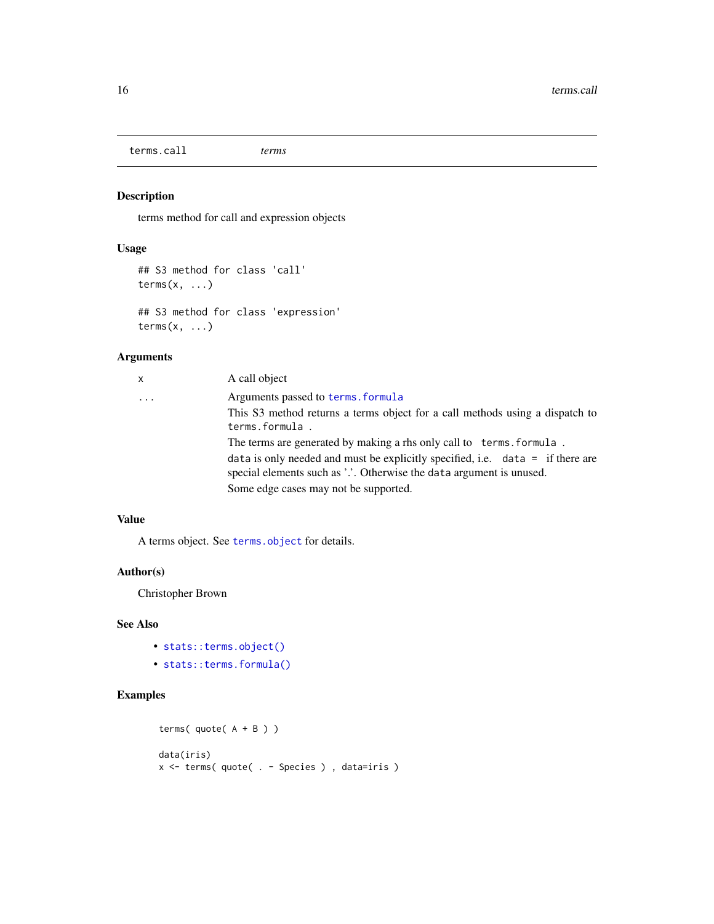<span id="page-15-0"></span>terms.call *terms*

#### Description

terms method for call and expression objects

#### Usage

```
## S3 method for class 'call'
terms(x, \ldots)## S3 method for class 'expression'
terms(x, \ldots)
```
#### Arguments

| x | A call object                                                                                                                                                                                     |
|---|---------------------------------------------------------------------------------------------------------------------------------------------------------------------------------------------------|
| . | Arguments passed to terms, formula                                                                                                                                                                |
|   | This S3 method returns a terms object for a call methods using a dispatch to<br>terms.formula.                                                                                                    |
|   | The terms are generated by making a rhs only call to terms. formula.                                                                                                                              |
|   | data is only needed and must be explicitly specified, i.e. $data = if there are$<br>special elements such as '.'. Otherwise the data argument is unused.<br>Some edge cases may not be supported. |
|   |                                                                                                                                                                                                   |

# Value

A terms object. See [terms.object](#page-0-0) for details.

# Author(s)

Christopher Brown

# See Also

- [stats::terms.object\(\)](#page-0-0)
- [stats::terms.formula\(\)](#page-0-0)

```
terms(quote(A + B))
data(iris)
x <- terms( quote( . - Species ) , data=iris )
```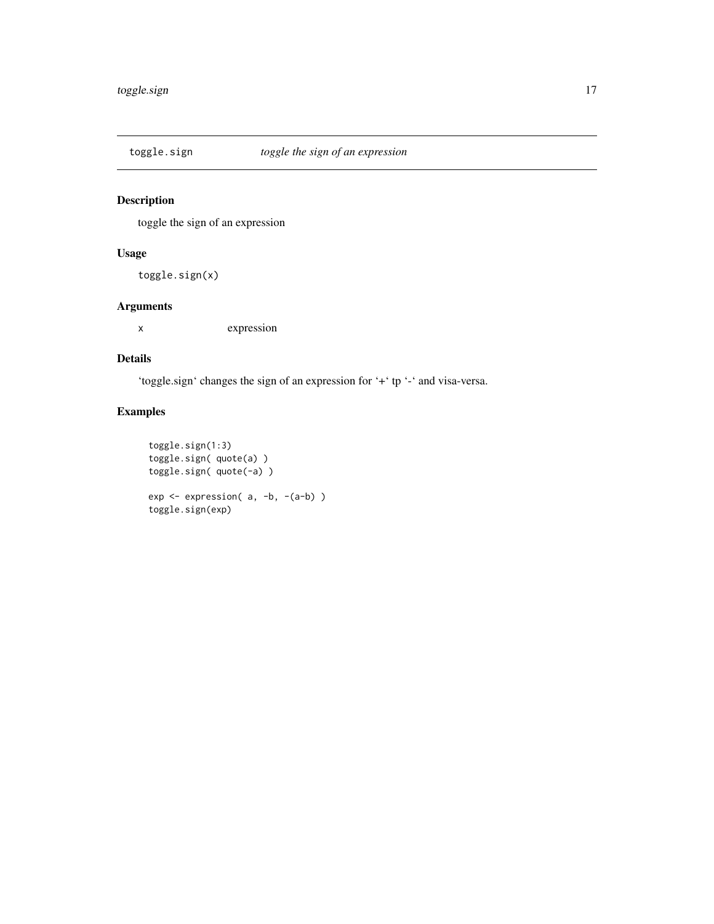<span id="page-16-0"></span>

toggle the sign of an expression

# Usage

toggle.sign(x)

# Arguments

x expression

#### Details

'toggle.sign' changes the sign of an expression for '+' tp '-' and visa-versa.

```
toggle.sign(1:3)
toggle.sign( quote(a) )
toggle.sign( quote(-a) )
exp <- expression( a, -b, -(a-b) )
toggle.sign(exp)
```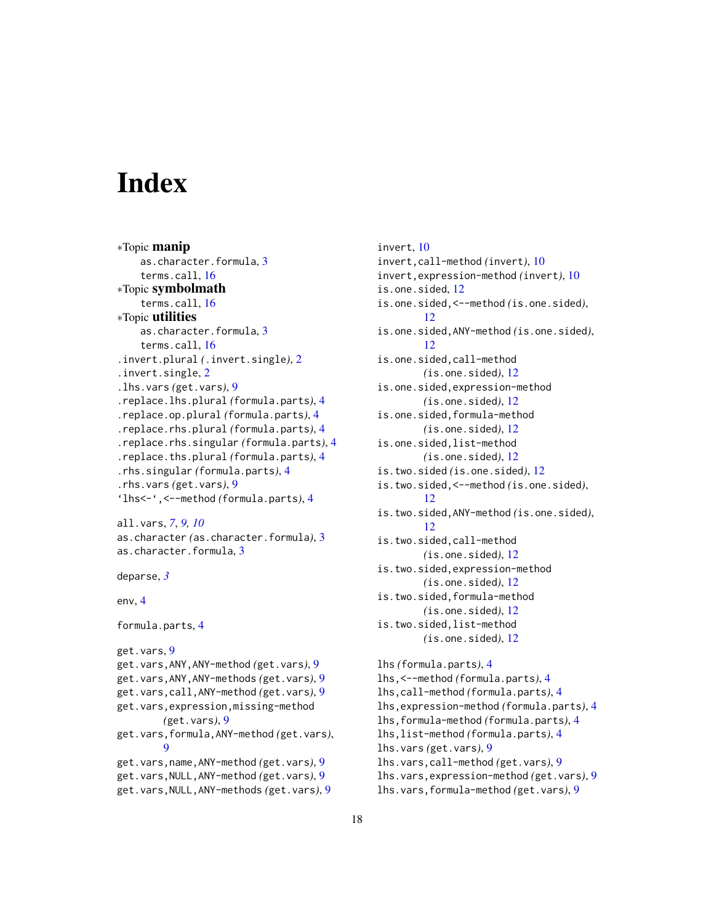# <span id="page-17-0"></span>**Index**

```
∗Topic manip
    as.character.formula, 3
    terms.call, 16
∗Topic symbolmath
    terms.call, 16
∗Topic utilities
    as.character.formula, 3
    terms.call, 16
.invert.plural (.invert.single), 2
.invert.single, 2
.lhs.vars (get.vars), 9
.replace.lhs.plural (formula.parts), 4
.replace.op.plural (formula.parts), 4
.replace.rhs.plural (formula.parts), 4
.replace.rhs.singular (formula.parts), 4
.replace.ths.plural (formula.parts), 4
.rhs.singular (formula.parts), 4
.rhs.vars (get.vars), 9
'lhs<-',<--method (formula.parts), 4
```

```
all.vars, 7, 9, 10
as.character (as.character.formula), 3
as.character.formula, 3
```

```
deparse, 3
```

```
env, 4
```

```
formula.parts, 4
```
get.vars, [9](#page-8-0) get.vars,ANY,ANY-method *(*get.vars*)*, [9](#page-8-0) get.vars,ANY,ANY-methods *(*get.vars*)*, [9](#page-8-0) get.vars,call,ANY-method *(*get.vars*)*, [9](#page-8-0) get.vars,expression,missing-method *(*get.vars*)*, [9](#page-8-0) get.vars,formula,ANY-method *(*get.vars*)*, [9](#page-8-0) get.vars,name,ANY-method *(*get.vars*)*, [9](#page-8-0) get.vars,NULL,ANY-method *(*get.vars*)*, [9](#page-8-0) get.vars,NULL,ANY-methods *(*get.vars*)*, [9](#page-8-0)

invert, [10](#page-9-0) invert,call-method *(*invert*)*, [10](#page-9-0) invert,expression-method *(*invert*)*, [10](#page-9-0) is.one.sided, [12](#page-11-0) is.one.sided,<--method *(*is.one.sided*)*, [12](#page-11-0) is.one.sided,ANY-method *(*is.one.sided*)*, [12](#page-11-0) is.one.sided,call-method *(*is.one.sided*)*, [12](#page-11-0) is.one.sided,expression-method *(*is.one.sided*)*, [12](#page-11-0) is.one.sided,formula-method *(*is.one.sided*)*, [12](#page-11-0) is.one.sided,list-method *(*is.one.sided*)*, [12](#page-11-0) is.two.sided *(*is.one.sided*)*, [12](#page-11-0) is.two.sided,<--method *(*is.one.sided*)*, [12](#page-11-0) is.two.sided,ANY-method *(*is.one.sided*)*, [12](#page-11-0) is.two.sided,call-method *(*is.one.sided*)*, [12](#page-11-0) is.two.sided,expression-method *(*is.one.sided*)*, [12](#page-11-0) is.two.sided,formula-method *(*is.one.sided*)*, [12](#page-11-0) is.two.sided,list-method *(*is.one.sided*)*, [12](#page-11-0) lhs *(*formula.parts*)*, [4](#page-3-0) lhs,<--method *(*formula.parts*)*, [4](#page-3-0) lhs,call-method *(*formula.parts*)*, [4](#page-3-0) lhs,expression-method *(*formula.parts*)*, [4](#page-3-0) lhs,formula-method *(*formula.parts*)*, [4](#page-3-0) lhs,list-method *(*formula.parts*)*, [4](#page-3-0)

- lhs.vars *(*get.vars*)*, [9](#page-8-0) lhs.vars,call-method *(*get.vars*)*, [9](#page-8-0) lhs.vars,expression-method *(*get.vars*)*, [9](#page-8-0)
- lhs.vars,formula-method *(*get.vars*)*, [9](#page-8-0)